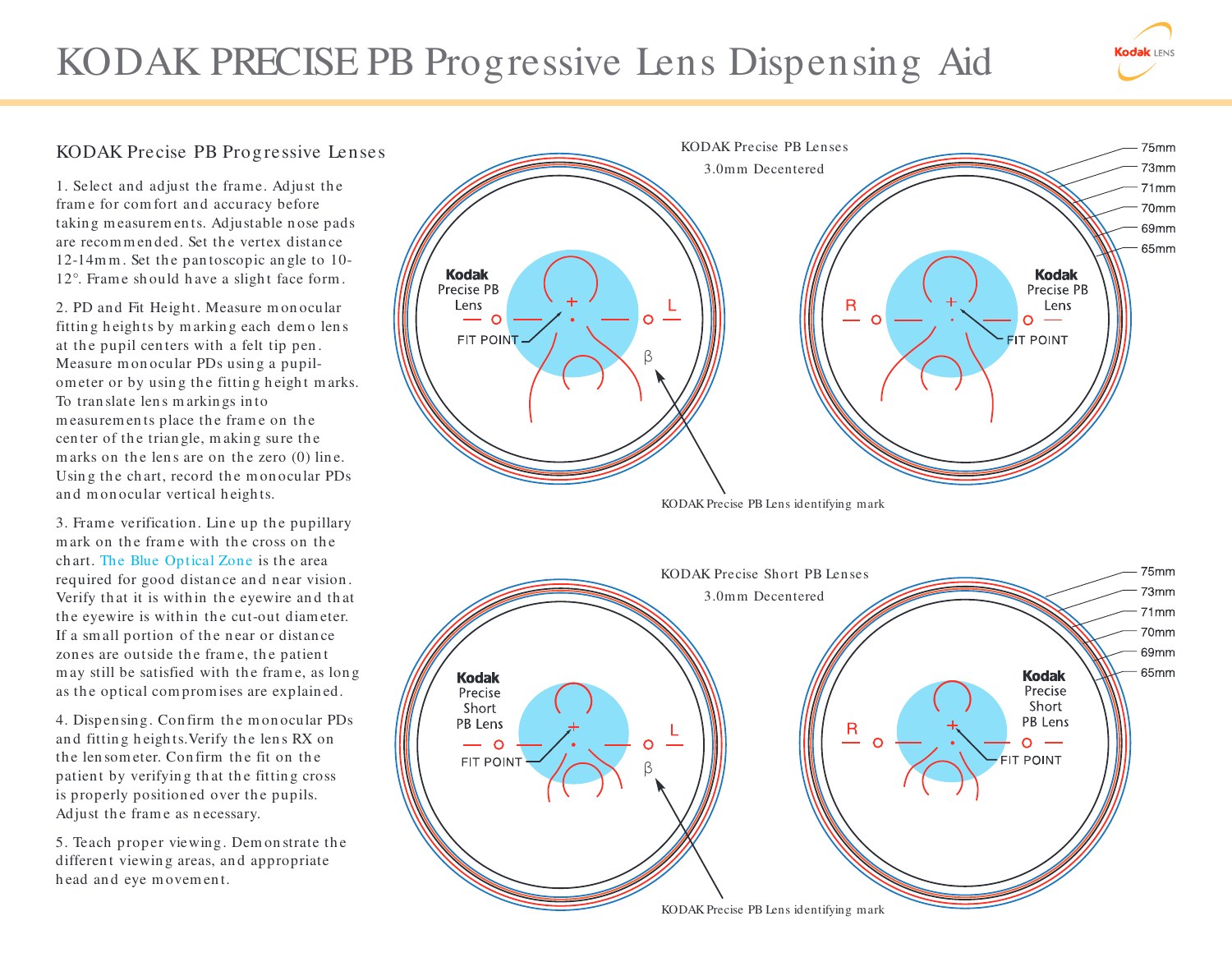## KODAK PRECISE PB Progressive Lens Dispensing Aid

## KODAK Precise PB Progressive Lenses

1. Select and adjust the frame. Adjust the frame for comfort and accuracy before takin g m easurem en ts. Adjustable n ose padsare recommended. Set the vertex distance 12-14m <sup>m</sup> . Set th e pan toscopic an gle to 10-12°. Frame should have a slight face form.

2. PD and Fit Height. Measure m on ocular fittin g h eigh ts by m arkin g each dem o len <sup>s</sup>at the pupil centers with a felt tip pen. Measure monocular PDs using a pupilom eter or by using the fitting height marks. To tran slate len s m arkin gs in tom easurem en ts place the frame on the center of the triangle, making sure the m arks on the lens are on the zero (0) line. Using the chart, record the monocular PDs and monocular vertical heights.

3. Frame verification. Line up the pupillary m ark on the frame with the cross on the ch art. The Blue Optical Zone is the area required for good distance and near vision. Verify that it is within the eyewire and that the eyewire is within the cut-out diameter. If a small portion of the near or distance zon es are outside the frame, the patient may still be satisfied with the frame, as long as the optical compromises are explained.

4. Dispensing. Confirm the monocular PDs and fitting heights. Verify the lens RX on the lensometer. Confirm the fit on the patient by verifying that the fitting cross is properly positioned over the pupils. Adjust the frame as necessary.

5. Teach proper viewing. Dem on strate the different viewing areas, and appropriate head and eye movement.



odak **IENS** 

KODAK Precise PB Lens identifying mark